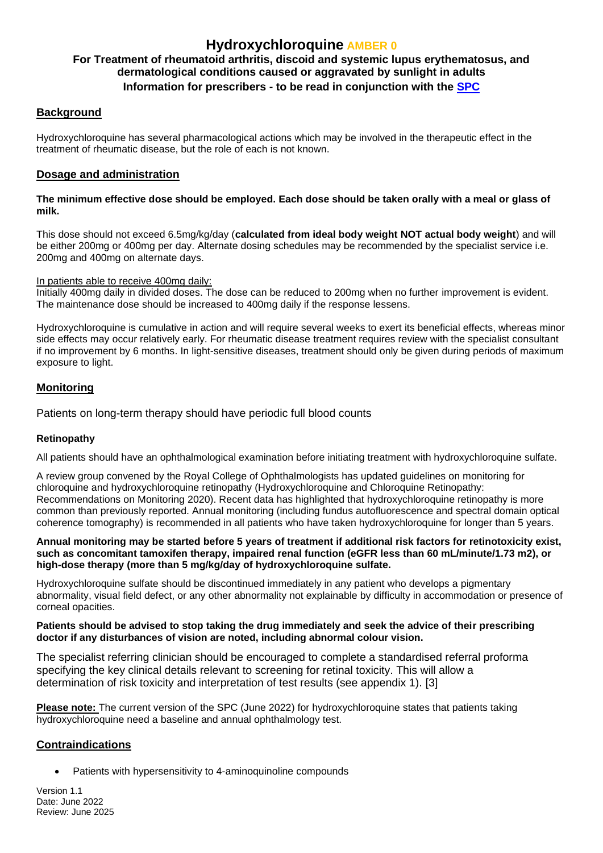# **Hydroxychloroquine AMBER 0**

# **For Treatment of rheumatoid arthritis, discoid and systemic lupus erythematosus, and dermatological conditions caused or aggravated by sunlight in adults Information for prescribers - to be read in conjunction with the [SPC](https://www.medicines.org.uk/emc/)**

# **Background**

Hydroxychloroquine has several pharmacological actions which may be involved in the therapeutic effect in the treatment of rheumatic disease, but the role of each is not known.

# **Dosage and administration**

## **The minimum effective dose should be employed. Each dose should be taken orally with a meal or glass of milk.**

This dose should not exceed 6.5mg/kg/day (**calculated from ideal body weight NOT actual body weight**) and will be either 200mg or 400mg per day. Alternate dosing schedules may be recommended by the specialist service i.e. 200mg and 400mg on alternate days.

#### In patients able to receive 400mg daily:

Initially 400mg daily in divided doses. The dose can be reduced to 200mg when no further improvement is evident. The maintenance dose should be increased to 400mg daily if the response lessens.

Hydroxychloroquine is cumulative in action and will require several weeks to exert its beneficial effects, whereas minor side effects may occur relatively early. For rheumatic disease treatment requires review with the specialist consultant if no improvement by 6 months. In light-sensitive diseases, treatment should only be given during periods of maximum exposure to light.

## **Monitoring**

Patients on long-term therapy should have periodic full blood counts

## **Retinopathy**

All patients should have an ophthalmological examination before initiating treatment with hydroxychloroquine sulfate.

A review group convened by the Royal College of Ophthalmologists has updated guidelines on monitoring for chloroquine and hydroxychloroquine retinopathy (Hydroxychloroquine and Chloroquine Retinopathy: Recommendations on Monitoring 2020). Recent data has highlighted that hydroxychloroquine retinopathy is more common than previously reported. Annual monitoring (including fundus autofluorescence and spectral domain optical coherence tomography) is recommended in all patients who have taken hydroxychloroquine for longer than 5 years.

#### **Annual monitoring may be started before 5 years of treatment if additional risk factors for retinotoxicity exist, such as concomitant tamoxifen therapy, impaired renal function (eGFR less than 60 mL/minute/1.73 m2), or high-dose therapy (more than 5 mg/kg/day of hydroxychloroquine sulfate.**

Hydroxychloroquine sulfate should be discontinued immediately in any patient who develops a pigmentary abnormality, visual field defect, or any other abnormality not explainable by difficulty in accommodation or presence of corneal opacities.

#### **Patients should be advised to stop taking the drug immediately and seek the advice of their prescribing doctor if any disturbances of vision are noted, including abnormal colour vision.**

The specialist referring clinician should be encouraged to complete a standardised referral proforma specifying the key clinical details relevant to screening for retinal toxicity. This will allow a determination of risk toxicity and interpretation of test results (see appendix 1). [3]

**Please note:** The current version of the SPC (June 2022) for hydroxychloroquine states that patients taking hydroxychloroquine need a baseline and annual ophthalmology test.

# **Contraindications**

• Patients with hypersensitivity to 4-aminoquinoline compounds

Version 1.1 Date: June 2022 Review: June 2025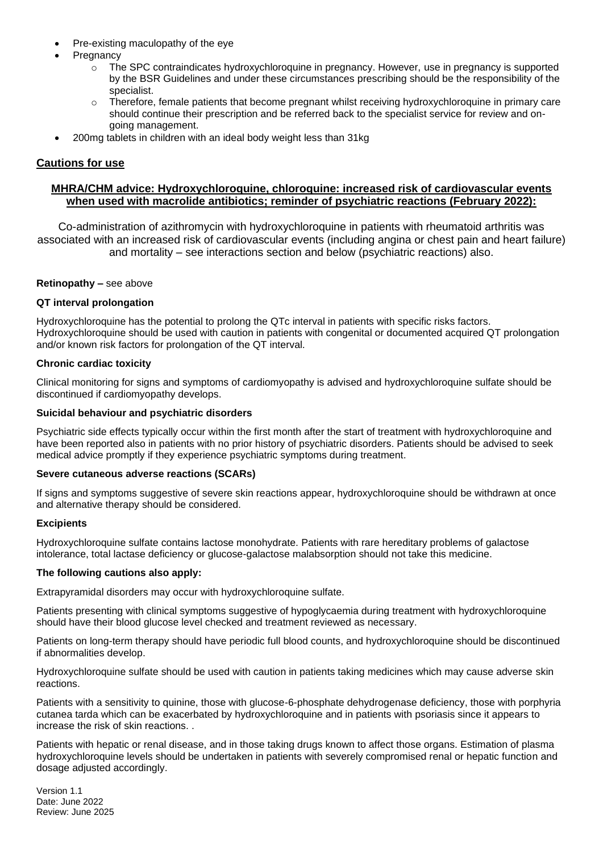- Pre-existing maculopathy of the eye
- **Pregnancy** 
	- $\circ$  The SPC contraindicates hydroxychloroquine in pregnancy. However, use in pregnancy is supported by the BSR Guidelines and under these circumstances prescribing should be the responsibility of the specialist.
	- $\circ$  Therefore, female patients that become pregnant whilst receiving hydroxychloroquine in primary care should continue their prescription and be referred back to the specialist service for review and ongoing management.
- 200mg tablets in children with an ideal body weight less than 31kg

# **Cautions for use**

# **[MHRA/CHM advice: Hydroxychloroquine, chloroquine: increased risk of cardiovascular events](https://www.gov.uk/drug-safety-update/hydroxychloroquine-chloroquine-increased-risk-of-cardiovascular-events-when-used-with-macrolide-antibiotics-reminder-of-psychiatric-reactions)  [when used with macrolide antibiotics; reminder of psychiatric reactions \(February 2022\):](https://www.gov.uk/drug-safety-update/hydroxychloroquine-chloroquine-increased-risk-of-cardiovascular-events-when-used-with-macrolide-antibiotics-reminder-of-psychiatric-reactions)**

Co-administration of azithromycin with hydroxychloroquine in patients with rheumatoid arthritis was associated with an increased risk of cardiovascular events (including angina or chest pain and heart failure) and mortality – see interactions section and below (psychiatric reactions) also.

## **Retinopathy –** see above

## **QT interval prolongation**

Hydroxychloroquine has the potential to prolong the QTc interval in patients with specific risks factors. Hydroxychloroquine should be used with caution in patients with congenital or documented acquired QT prolongation and/or known risk factors for prolongation of the QT interval.

#### **Chronic cardiac toxicity**

Clinical monitoring for signs and symptoms of cardiomyopathy is advised and hydroxychloroquine sulfate should be discontinued if cardiomyopathy develops.

#### **Suicidal behaviour and psychiatric disorders**

Psychiatric side effects typically occur within the first month after the start of treatment with hydroxychloroquine and have been reported also in patients with no prior history of psychiatric disorders. Patients should be advised to seek medical advice promptly if they experience psychiatric symptoms during treatment.

## **Severe cutaneous adverse reactions (SCARs)**

If signs and symptoms suggestive of severe skin reactions appear, hydroxychloroquine should be withdrawn at once and alternative therapy should be considered.

#### **Excipients**

Hydroxychloroquine sulfate contains lactose monohydrate. Patients with rare hereditary problems of galactose intolerance, total lactase deficiency or glucose-galactose malabsorption should not take this medicine.

#### **The following cautions also apply:**

Extrapyramidal disorders may occur with hydroxychloroquine sulfate.

Patients presenting with clinical symptoms suggestive of hypoglycaemia during treatment with hydroxychloroquine should have their blood glucose level checked and treatment reviewed as necessary.

Patients on long-term therapy should have periodic full blood counts, and hydroxychloroquine should be discontinued if abnormalities develop.

Hydroxychloroquine sulfate should be used with caution in patients taking medicines which may cause adverse skin reactions.

Patients with a sensitivity to quinine, those with glucose-6-phosphate dehydrogenase deficiency, those with porphyria cutanea tarda which can be exacerbated by hydroxychloroquine and in patients with psoriasis since it appears to increase the risk of skin reactions. .

Patients with hepatic or renal disease, and in those taking drugs known to affect those organs. Estimation of plasma hydroxychloroquine levels should be undertaken in patients with severely compromised renal or hepatic function and dosage adjusted accordingly.

Version 1.1 Date: June 2022 Review: June 2025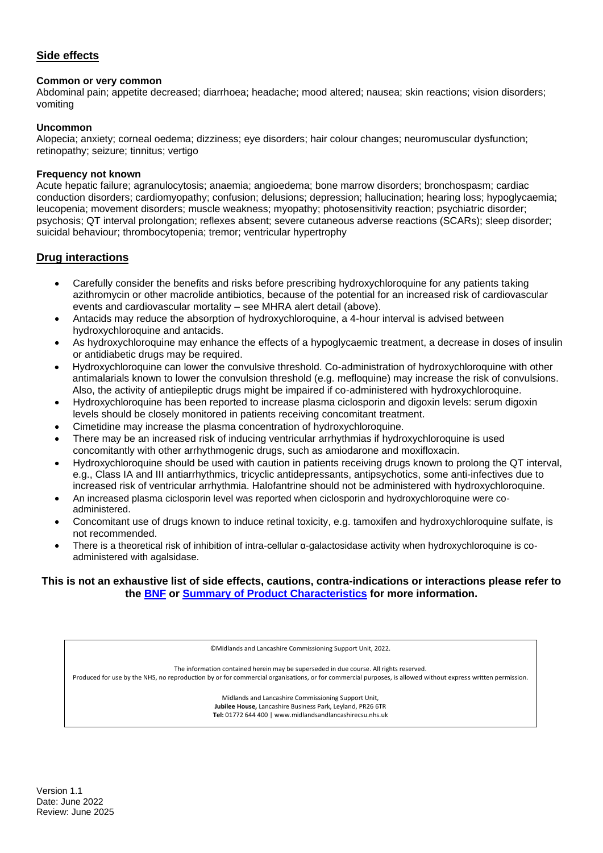# **Side effects**

#### **Common or very common**

Abdominal pain; appetite decreased; diarrhoea; headache; mood altered; nausea; skin reactions; vision disorders; vomiting

#### **Uncommon**

Alopecia; anxiety; corneal oedema; dizziness; eye disorders; hair colour changes; neuromuscular dysfunction; retinopathy; seizure; tinnitus; vertigo

#### **Frequency not known**

Acute hepatic failure; agranulocytosis; anaemia; angioedema; bone marrow disorders; bronchospasm; cardiac conduction disorders; cardiomyopathy; confusion; delusions; depression; hallucination; hearing loss; hypoglycaemia; leucopenia; movement disorders; muscle weakness; myopathy; photosensitivity reaction; psychiatric disorder; psychosis; QT interval prolongation; reflexes absent; severe cutaneous adverse reactions (SCARs); sleep disorder; suicidal behaviour; thrombocytopenia; tremor; ventricular hypertrophy

## **Drug interactions**

- Carefully consider the benefits and risks before prescribing hydroxychloroquine for any patients taking azithromycin or other macrolide antibiotics, because of the potential for an increased risk of cardiovascular events and cardiovascular mortality – see MHRA alert detail (above).
- Antacids may reduce the absorption of hydroxychloroquine, a 4-hour interval is advised between hydroxychloroquine and antacids.
- As hydroxychloroquine may enhance the effects of a hypoglycaemic treatment, a decrease in doses of insulin or antidiabetic drugs may be required.
- Hydroxychloroquine can lower the convulsive threshold. Co-administration of hydroxychloroquine with other antimalarials known to lower the convulsion threshold (e.g. mefloquine) may increase the risk of convulsions. Also, the activity of antiepileptic drugs might be impaired if co-administered with hydroxychloroquine.
- Hydroxychloroquine has been reported to increase plasma ciclosporin and digoxin levels: serum digoxin levels should be closely monitored in patients receiving concomitant treatment.
- Cimetidine may increase the plasma concentration of hydroxychloroquine.
- There may be an increased risk of inducing ventricular arrhythmias if hydroxychloroquine is used concomitantly with other arrhythmogenic drugs, such as amiodarone and moxifloxacin.
- Hydroxychloroquine should be used with caution in patients receiving drugs known to prolong the QT interval, e.g., Class IA and III antiarrhythmics, tricyclic antidepressants, antipsychotics, some anti-infectives due to increased risk of ventricular arrhythmia. Halofantrine should not be administered with hydroxychloroquine.
- An increased plasma ciclosporin level was reported when ciclosporin and hydroxychloroquine were coadministered.
- Concomitant use of drugs known to induce retinal toxicity, e.g. tamoxifen and hydroxychloroquine sulfate, is not recommended.
- There is a theoretical risk of inhibition of intra-cellular α-galactosidase activity when hydroxychloroquine is coadministered with agalsidase.

## **This is not an exhaustive list of side effects, cautions, contra-indications or interactions please refer to the [BNF](http://www.bnf.org/bnf/index.htm) or [Summary of Product Characteristics](https://www.medicines.org.uk/emc/) for more information.**

©Midlands and Lancashire Commissioning Support Unit, 2022. The information contained herein may be superseded in due course. All rights reserved. Produced for use by the NHS, no reproduction by or for commercial organisations, or for commercial purposes, is allowed without express written permission. Midlands and Lancashire Commissioning Support Unit, **Jubilee House,** Lancashire Business Park, Leyland, PR26 6TR **Tel:** 01772 644 400 | www.midlandsandlancashirecsu.nhs.uk